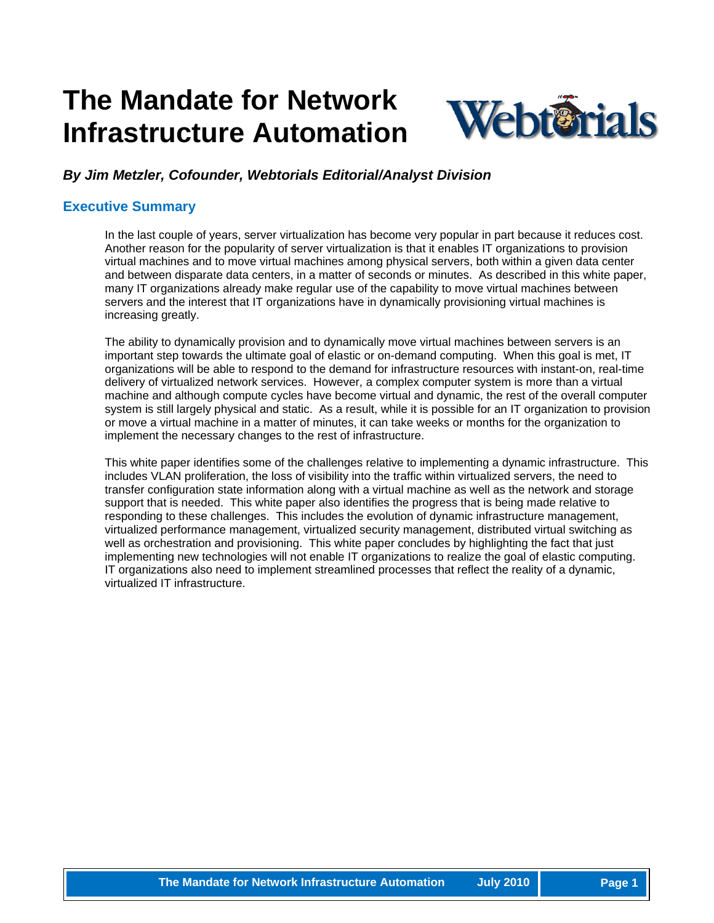# **The Mandate for Network Infrastructure Automation**



## *By Jim Metzler, Cofounder, Webtorials Editorial/Analyst Division*

## **Executive Summary**

In the last couple of years, server virtualization has become very popular in part because it reduces cost. Another reason for the popularity of server virtualization is that it enables IT organizations to provision virtual machines and to move virtual machines among physical servers, both within a given data center and between disparate data centers, in a matter of seconds or minutes. As described in this white paper, many IT organizations already make regular use of the capability to move virtual machines between servers and the interest that IT organizations have in dynamically provisioning virtual machines is increasing greatly.

The ability to dynamically provision and to dynamically move virtual machines between servers is an important step towards the ultimate goal of elastic or on-demand computing. When this goal is met, IT organizations will be able to respond to the demand for infrastructure resources with instant-on, real-time delivery of virtualized network services. However, a complex computer system is more than a virtual machine and although compute cycles have become virtual and dynamic, the rest of the overall computer system is still largely physical and static. As a result, while it is possible for an IT organization to provision or move a virtual machine in a matter of minutes, it can take weeks or months for the organization to implement the necessary changes to the rest of infrastructure.

This white paper identifies some of the challenges relative to implementing a dynamic infrastructure. This includes VLAN proliferation, the loss of visibility into the traffic within virtualized servers, the need to transfer configuration state information along with a virtual machine as well as the network and storage support that is needed. This white paper also identifies the progress that is being made relative to responding to these challenges. This includes the evolution of dynamic infrastructure management, virtualized performance management, virtualized security management, distributed virtual switching as well as orchestration and provisioning. This white paper concludes by highlighting the fact that just implementing new technologies will not enable IT organizations to realize the goal of elastic computing. IT organizations also need to implement streamlined processes that reflect the reality of a dynamic, virtualized IT infrastructure.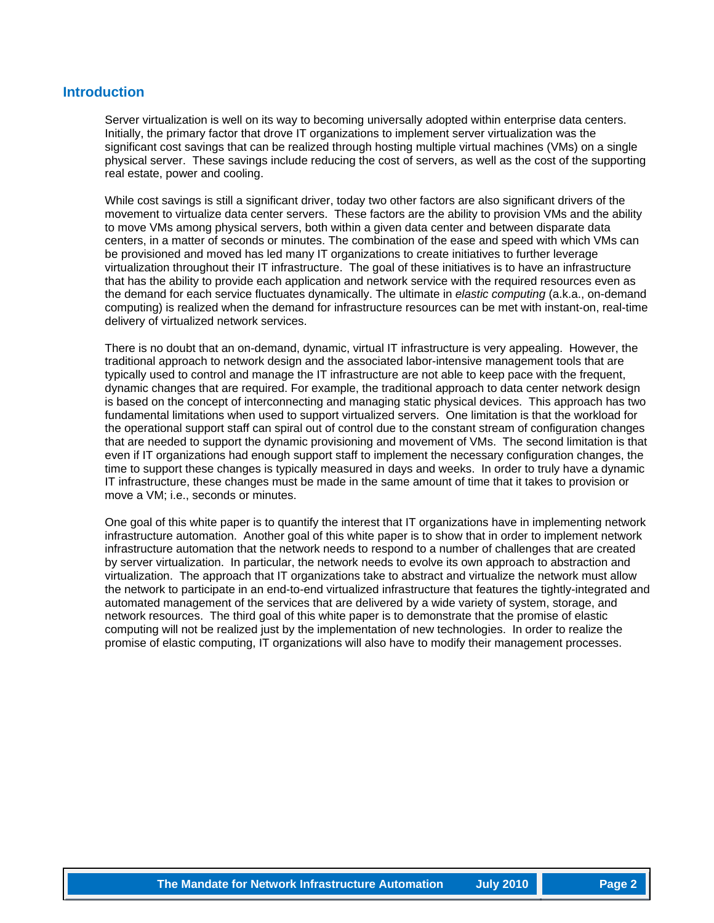#### **Introduction**

Server virtualization is well on its way to becoming universally adopted within enterprise data centers. Initially, the primary factor that drove IT organizations to implement server virtualization was the significant cost savings that can be realized through hosting multiple virtual machines (VMs) on a single physical server. These savings include reducing the cost of servers, as well as the cost of the supporting real estate, power and cooling.

While cost savings is still a significant driver, today two other factors are also significant drivers of the movement to virtualize data center servers. These factors are the ability to provision VMs and the ability to move VMs among physical servers, both within a given data center and between disparate data centers, in a matter of seconds or minutes. The combination of the ease and speed with which VMs can be provisioned and moved has led many IT organizations to create initiatives to further leverage virtualization throughout their IT infrastructure. The goal of these initiatives is to have an infrastructure that has the ability to provide each application and network service with the required resources even as the demand for each service fluctuates dynamically. The ultimate in *elastic computing* (a.k.a., on-demand computing) is realized when the demand for infrastructure resources can be met with instant-on, real-time delivery of virtualized network services.

There is no doubt that an on-demand, dynamic, virtual IT infrastructure is very appealing. However, the traditional approach to network design and the associated labor-intensive management tools that are typically used to control and manage the IT infrastructure are not able to keep pace with the frequent, dynamic changes that are required. For example, the traditional approach to data center network design is based on the concept of interconnecting and managing static physical devices. This approach has two fundamental limitations when used to support virtualized servers. One limitation is that the workload for the operational support staff can spiral out of control due to the constant stream of configuration changes that are needed to support the dynamic provisioning and movement of VMs. The second limitation is that even if IT organizations had enough support staff to implement the necessary configuration changes, the time to support these changes is typically measured in days and weeks. In order to truly have a dynamic IT infrastructure, these changes must be made in the same amount of time that it takes to provision or move a VM; i.e., seconds or minutes.

One goal of this white paper is to quantify the interest that IT organizations have in implementing network infrastructure automation. Another goal of this white paper is to show that in order to implement network infrastructure automation that the network needs to respond to a number of challenges that are created by server virtualization. In particular, the network needs to evolve its own approach to abstraction and virtualization. The approach that IT organizations take to abstract and virtualize the network must allow the network to participate in an end-to-end virtualized infrastructure that features the tightly-integrated and automated management of the services that are delivered by a wide variety of system, storage, and network resources. The third goal of this white paper is to demonstrate that the promise of elastic computing will not be realized just by the implementation of new technologies. In order to realize the promise of elastic computing, IT organizations will also have to modify their management processes.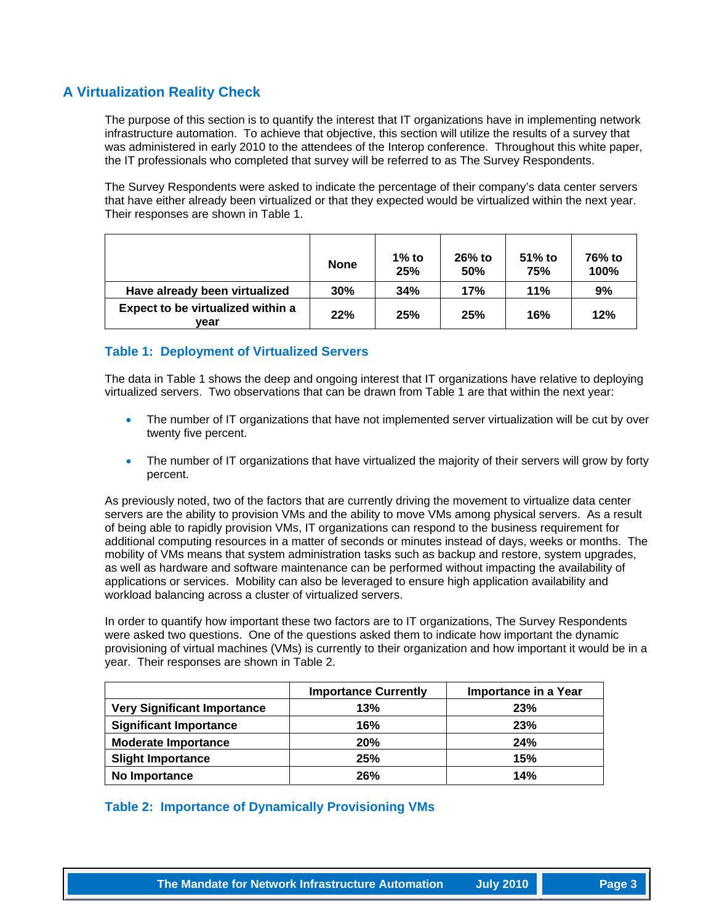## **A Virtualization Reality Check**

The purpose of this section is to quantify the interest that IT organizations have in implementing network infrastructure automation. To achieve that objective, this section will utilize the results of a survey that was administered in early 2010 to the attendees of the Interop conference. Throughout this white paper, the IT professionals who completed that survey will be referred to as The Survey Respondents.

The Survey Respondents were asked to indicate the percentage of their company's data center servers that have either already been virtualized or that they expected would be virtualized within the next year. Their responses are shown in Table 1.

|                                           | <b>None</b> | $1\%$ to<br>25% | $26%$ to<br>50% | 51% to<br>75% | 76% to<br>100% |
|-------------------------------------------|-------------|-----------------|-----------------|---------------|----------------|
| Have already been virtualized             | 30%         | 34%             | 17%             | 11%           | 9%             |
| Expect to be virtualized within a<br>vear | 22%         | 25%             | 25%             | 16%           | 12%            |

#### **Table 1: Deployment of Virtualized Servers**

The data in Table 1 shows the deep and ongoing interest that IT organizations have relative to deploying virtualized servers. Two observations that can be drawn from Table 1 are that within the next year:

- The number of IT organizations that have not implemented server virtualization will be cut by over twenty five percent.
- The number of IT organizations that have virtualized the majority of their servers will grow by forty percent.

As previously noted, two of the factors that are currently driving the movement to virtualize data center servers are the ability to provision VMs and the ability to move VMs among physical servers. As a result of being able to rapidly provision VMs, IT organizations can respond to the business requirement for additional computing resources in a matter of seconds or minutes instead of days, weeks or months. The mobility of VMs means that system administration tasks such as backup and restore, system upgrades, as well as hardware and software maintenance can be performed without impacting the availability of applications or services. Mobility can also be leveraged to ensure high application availability and workload balancing across a cluster of virtualized servers.

In order to quantify how important these two factors are to IT organizations, The Survey Respondents were asked two questions. One of the questions asked them to indicate how important the dynamic provisioning of virtual machines (VMs) is currently to their organization and how important it would be in a year. Their responses are shown in Table 2.

|                                    | <b>Importance Currently</b> | Importance in a Year |
|------------------------------------|-----------------------------|----------------------|
| <b>Very Significant Importance</b> | 13%                         | 23%                  |
| <b>Significant Importance</b>      | 16%                         | 23%                  |
| <b>Moderate Importance</b>         | <b>20%</b>                  | 24%                  |
| <b>Slight Importance</b>           | 25%                         | 15%                  |
| No Importance                      | 26%                         | 14%                  |

#### **Table 2: Importance of Dynamically Provisioning VMs**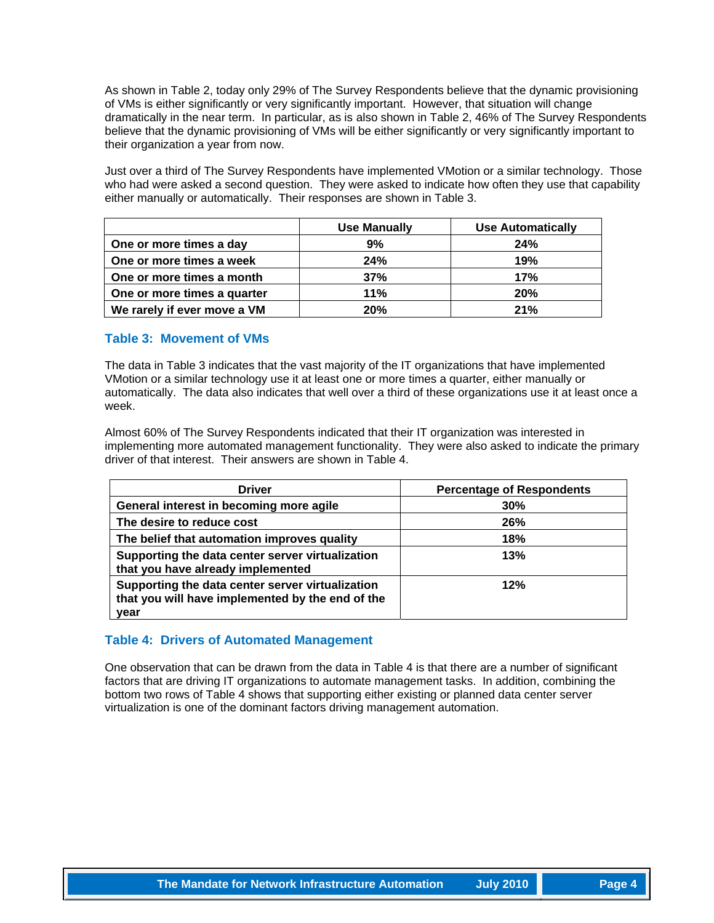As shown in Table 2, today only 29% of The Survey Respondents believe that the dynamic provisioning of VMs is either significantly or very significantly important. However, that situation will change dramatically in the near term. In particular, as is also shown in Table 2, 46% of The Survey Respondents believe that the dynamic provisioning of VMs will be either significantly or very significantly important to their organization a year from now.

Just over a third of The Survey Respondents have implemented VMotion or a similar technology. Those who had were asked a second question. They were asked to indicate how often they use that capability either manually or automatically. Their responses are shown in Table 3.

|                             | <b>Use Manually</b> | <b>Use Automatically</b> |
|-----------------------------|---------------------|--------------------------|
| One or more times a day     | 9%                  | 24%                      |
| One or more times a week    | 24%                 | 19%                      |
| One or more times a month   | 37%                 | 17%                      |
| One or more times a quarter | 11%                 | 20%                      |
| We rarely if ever move a VM | 20%                 | 21%                      |

#### **Table 3: Movement of VMs**

The data in Table 3 indicates that the vast majority of the IT organizations that have implemented VMotion or a similar technology use it at least one or more times a quarter, either manually or automatically. The data also indicates that well over a third of these organizations use it at least once a week.

Almost 60% of The Survey Respondents indicated that their IT organization was interested in implementing more automated management functionality. They were also asked to indicate the primary driver of that interest. Their answers are shown in Table 4.

| <b>Driver</b>                                                                                                | <b>Percentage of Respondents</b> |
|--------------------------------------------------------------------------------------------------------------|----------------------------------|
| General interest in becoming more agile                                                                      | 30%                              |
| The desire to reduce cost                                                                                    | 26%                              |
| The belief that automation improves quality                                                                  | 18%                              |
| Supporting the data center server virtualization<br>that you have already implemented                        | 13%                              |
| Supporting the data center server virtualization<br>that you will have implemented by the end of the<br>year | 12%                              |

#### **Table 4: Drivers of Automated Management**

One observation that can be drawn from the data in Table 4 is that there are a number of significant factors that are driving IT organizations to automate management tasks. In addition, combining the bottom two rows of Table 4 shows that supporting either existing or planned data center server virtualization is one of the dominant factors driving management automation.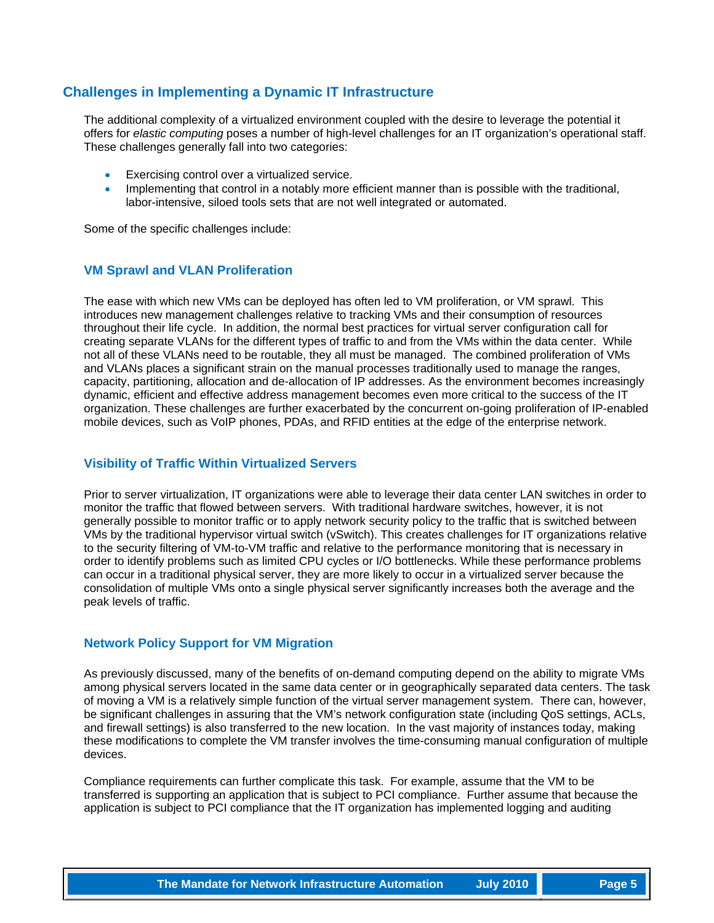## **Challenges in Implementing a Dynamic IT Infrastructure**

The additional complexity of a virtualized environment coupled with the desire to leverage the potential it offers for *elastic computing* poses a number of high-level challenges for an IT organization's operational staff. These challenges generally fall into two categories:

- Exercising control over a virtualized service.
- Implementing that control in a notably more efficient manner than is possible with the traditional, labor-intensive, siloed tools sets that are not well integrated or automated.

Some of the specific challenges include:

#### **VM Sprawl and VLAN Proliferation**

The ease with which new VMs can be deployed has often led to VM proliferation, or VM sprawl. This introduces new management challenges relative to tracking VMs and their consumption of resources throughout their life cycle. In addition, the normal best practices for virtual server configuration call for creating separate VLANs for the different types of traffic to and from the VMs within the data center. While not all of these VLANs need to be routable, they all must be managed. The combined proliferation of VMs and VLANs places a significant strain on the manual processes traditionally used to manage the ranges, capacity, partitioning, allocation and de-allocation of IP addresses. As the environment becomes increasingly dynamic, efficient and effective address management becomes even more critical to the success of the IT organization. These challenges are further exacerbated by the concurrent on-going proliferation of IP-enabled mobile devices, such as VoIP phones, PDAs, and RFID entities at the edge of the enterprise network.

#### **Visibility of Traffic Within Virtualized Servers**

Prior to server virtualization, IT organizations were able to leverage their data center LAN switches in order to monitor the traffic that flowed between servers. With traditional hardware switches, however, it is not generally possible to monitor traffic or to apply network security policy to the traffic that is switched between VMs by the traditional hypervisor virtual switch (vSwitch). This creates challenges for IT organizations relative to the security filtering of VM-to-VM traffic and relative to the performance monitoring that is necessary in order to identify problems such as limited CPU cycles or I/O bottlenecks. While these performance problems can occur in a traditional physical server, they are more likely to occur in a virtualized server because the consolidation of multiple VMs onto a single physical server significantly increases both the average and the peak levels of traffic.

#### **Network Policy Support for VM Migration**

As previously discussed, many of the benefits of on-demand computing depend on the ability to migrate VMs among physical servers located in the same data center or in geographically separated data centers. The task of moving a VM is a relatively simple function of the virtual server management system. There can, however, be significant challenges in assuring that the VM's network configuration state (including QoS settings, ACLs, and firewall settings) is also transferred to the new location. In the vast majority of instances today, making these modifications to complete the VM transfer involves the time-consuming manual configuration of multiple devices.

Compliance requirements can further complicate this task. For example, assume that the VM to be transferred is supporting an application that is subject to PCI compliance. Further assume that because the application is subject to PCI compliance that the IT organization has implemented logging and auditing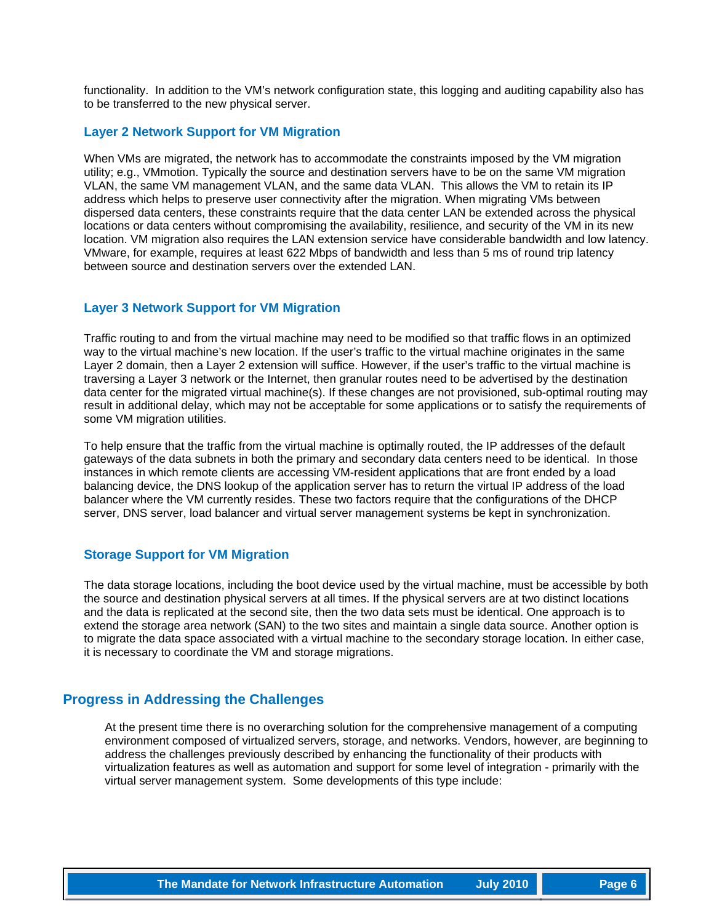functionality. In addition to the VM's network configuration state, this logging and auditing capability also has to be transferred to the new physical server.

#### **Layer 2 Network Support for VM Migration**

When VMs are migrated, the network has to accommodate the constraints imposed by the VM migration utility; e.g., VMmotion. Typically the source and destination servers have to be on the same VM migration VLAN, the same VM management VLAN, and the same data VLAN. This allows the VM to retain its IP address which helps to preserve user connectivity after the migration. When migrating VMs between dispersed data centers, these constraints require that the data center LAN be extended across the physical locations or data centers without compromising the availability, resilience, and security of the VM in its new location. VM migration also requires the LAN extension service have considerable bandwidth and low latency. VMware, for example, requires at least 622 Mbps of bandwidth and less than 5 ms of round trip latency between source and destination servers over the extended LAN.

#### **Layer 3 Network Support for VM Migration**

Traffic routing to and from the virtual machine may need to be modified so that traffic flows in an optimized way to the virtual machine's new location. If the user's traffic to the virtual machine originates in the same Layer 2 domain, then a Layer 2 extension will suffice. However, if the user's traffic to the virtual machine is traversing a Layer 3 network or the Internet, then granular routes need to be advertised by the destination data center for the migrated virtual machine(s). If these changes are not provisioned, sub-optimal routing may result in additional delay, which may not be acceptable for some applications or to satisfy the requirements of some VM migration utilities.

To help ensure that the traffic from the virtual machine is optimally routed, the IP addresses of the default gateways of the data subnets in both the primary and secondary data centers need to be identical. In those instances in which remote clients are accessing VM-resident applications that are front ended by a load balancing device, the DNS lookup of the application server has to return the virtual IP address of the load balancer where the VM currently resides. These two factors require that the configurations of the DHCP server, DNS server, load balancer and virtual server management systems be kept in synchronization.

#### **Storage Support for VM Migration**

The data storage locations, including the boot device used by the virtual machine, must be accessible by both the source and destination physical servers at all times. If the physical servers are at two distinct locations and the data is replicated at the second site, then the two data sets must be identical. One approach is to extend the storage area network (SAN) to the two sites and maintain a single data source. Another option is to migrate the data space associated with a virtual machine to the secondary storage location. In either case, it is necessary to coordinate the VM and storage migrations.

#### **Progress in Addressing the Challenges**

At the present time there is no overarching solution for the comprehensive management of a computing environment composed of virtualized servers, storage, and networks. Vendors, however, are beginning to address the challenges previously described by enhancing the functionality of their products with virtualization features as well as automation and support for some level of integration - primarily with the virtual server management system. Some developments of this type include: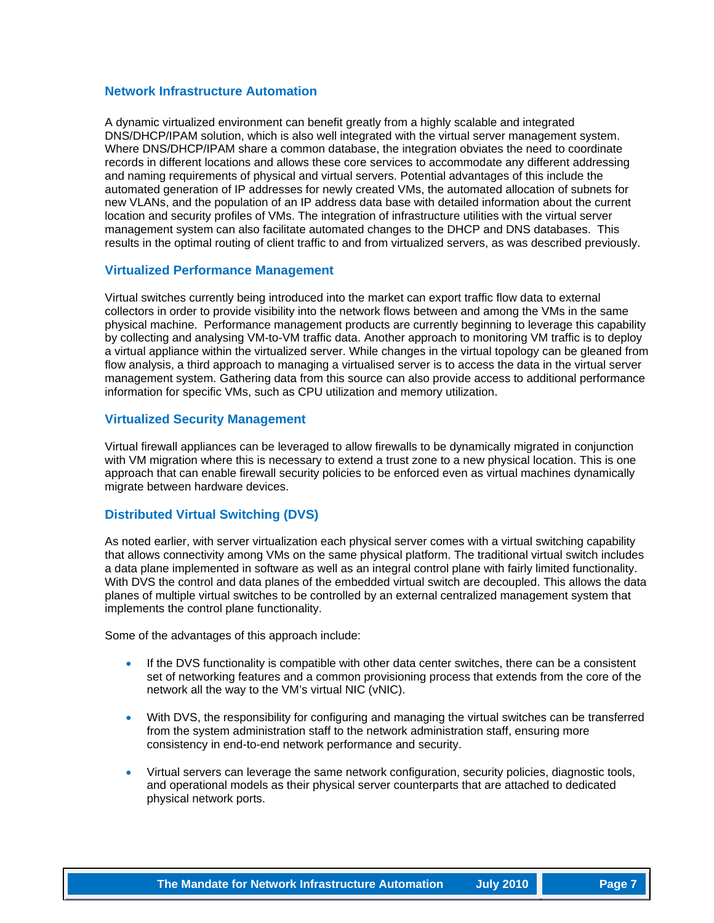#### **Network Infrastructure Automation**

A dynamic virtualized environment can benefit greatly from a highly scalable and integrated DNS/DHCP/IPAM solution, which is also well integrated with the virtual server management system. Where DNS/DHCP/IPAM share a common database, the integration obviates the need to coordinate records in different locations and allows these core services to accommodate any different addressing and naming requirements of physical and virtual servers. Potential advantages of this include the automated generation of IP addresses for newly created VMs, the automated allocation of subnets for new VLANs, and the population of an IP address data base with detailed information about the current location and security profiles of VMs. The integration of infrastructure utilities with the virtual server management system can also facilitate automated changes to the DHCP and DNS databases. This results in the optimal routing of client traffic to and from virtualized servers, as was described previously.

#### **Virtualized Performance Management**

Virtual switches currently being introduced into the market can export traffic flow data to external collectors in order to provide visibility into the network flows between and among the VMs in the same physical machine. Performance management products are currently beginning to leverage this capability by collecting and analysing VM-to-VM traffic data. Another approach to monitoring VM traffic is to deploy a virtual appliance within the virtualized server. While changes in the virtual topology can be gleaned from flow analysis, a third approach to managing a virtualised server is to access the data in the virtual server management system. Gathering data from this source can also provide access to additional performance information for specific VMs, such as CPU utilization and memory utilization.

#### **Virtualized Security Management**

Virtual firewall appliances can be leveraged to allow firewalls to be dynamically migrated in conjunction with VM migration where this is necessary to extend a trust zone to a new physical location. This is one approach that can enable firewall security policies to be enforced even as virtual machines dynamically migrate between hardware devices.

#### **Distributed Virtual Switching (DVS)**

As noted earlier, with server virtualization each physical server comes with a virtual switching capability that allows connectivity among VMs on the same physical platform. The traditional virtual switch includes a data plane implemented in software as well as an integral control plane with fairly limited functionality. With DVS the control and data planes of the embedded virtual switch are decoupled. This allows the data planes of multiple virtual switches to be controlled by an external centralized management system that implements the control plane functionality.

Some of the advantages of this approach include:

- If the DVS functionality is compatible with other data center switches, there can be a consistent set of networking features and a common provisioning process that extends from the core of the network all the way to the VM's virtual NIC (vNIC).
- With DVS, the responsibility for configuring and managing the virtual switches can be transferred from the system administration staff to the network administration staff, ensuring more consistency in end-to-end network performance and security.
- Virtual servers can leverage the same network configuration, security policies, diagnostic tools, and operational models as their physical server counterparts that are attached to dedicated physical network ports.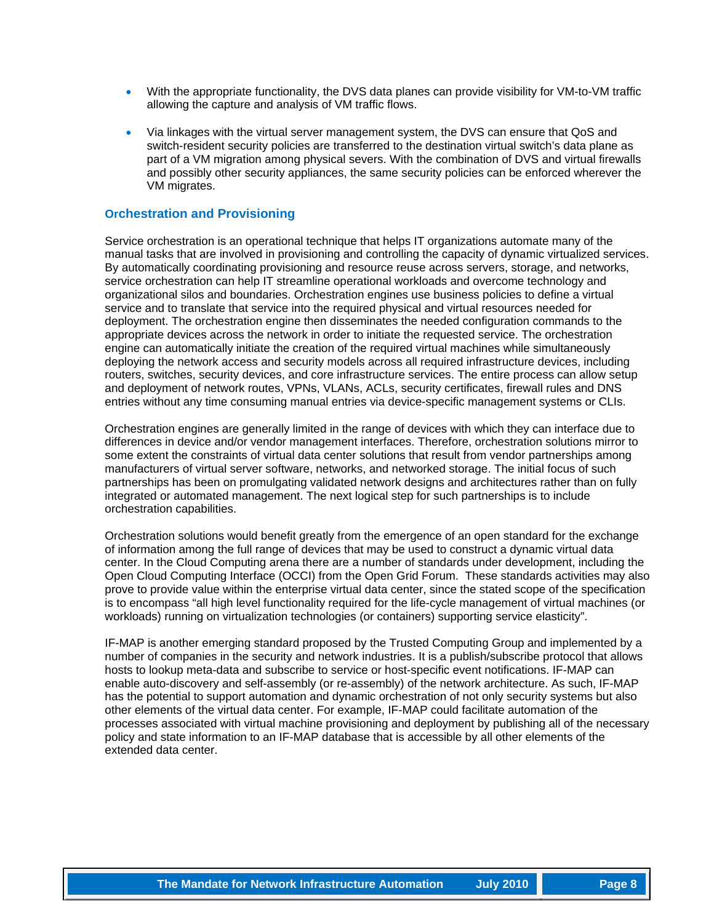- With the appropriate functionality, the DVS data planes can provide visibility for VM-to-VM traffic allowing the capture and analysis of VM traffic flows.
- Via linkages with the virtual server management system, the DVS can ensure that QoS and switch-resident security policies are transferred to the destination virtual switch's data plane as part of a VM migration among physical severs. With the combination of DVS and virtual firewalls and possibly other security appliances, the same security policies can be enforced wherever the VM migrates.

#### **Orchestration and Provisioning**

Service orchestration is an operational technique that helps IT organizations automate many of the manual tasks that are involved in provisioning and controlling the capacity of dynamic virtualized services. By automatically coordinating provisioning and resource reuse across servers, storage, and networks, service orchestration can help IT streamline operational workloads and overcome technology and organizational silos and boundaries. Orchestration engines use business policies to define a virtual service and to translate that service into the required physical and virtual resources needed for deployment. The orchestration engine then disseminates the needed configuration commands to the appropriate devices across the network in order to initiate the requested service. The orchestration engine can automatically initiate the creation of the required virtual machines while simultaneously deploying the network access and security models across all required infrastructure devices, including routers, switches, security devices, and core infrastructure services. The entire process can allow setup and deployment of network routes, VPNs, VLANs, ACLs, security certificates, firewall rules and DNS entries without any time consuming manual entries via device-specific management systems or CLIs.

Orchestration engines are generally limited in the range of devices with which they can interface due to differences in device and/or vendor management interfaces. Therefore, orchestration solutions mirror to some extent the constraints of virtual data center solutions that result from vendor partnerships among manufacturers of virtual server software, networks, and networked storage. The initial focus of such partnerships has been on promulgating validated network designs and architectures rather than on fully integrated or automated management. The next logical step for such partnerships is to include orchestration capabilities.

Orchestration solutions would benefit greatly from the emergence of an open standard for the exchange of information among the full range of devices that may be used to construct a dynamic virtual data center. In the Cloud Computing arena there are a number of standards under development, including the Open Cloud Computing Interface (OCCI) from the Open Grid Forum. These standards activities may also prove to provide value within the enterprise virtual data center, since the stated scope of the specification is to encompass "all high level functionality required for the life-cycle management of virtual machines (or workloads) running on virtualization technologies (or containers) supporting service elasticity".

IF-MAP is another emerging standard proposed by the Trusted Computing Group and implemented by a number of companies in the security and network industries. It is a publish/subscribe protocol that allows hosts to lookup meta-data and subscribe to service or host-specific event notifications. IF-MAP can enable auto-discovery and self-assembly (or re-assembly) of the network architecture. As such, IF-MAP has the potential to support automation and dynamic orchestration of not only security systems but also other elements of the virtual data center. For example, IF-MAP could facilitate automation of the processes associated with virtual machine provisioning and deployment by publishing all of the necessary policy and state information to an IF-MAP database that is accessible by all other elements of the extended data center.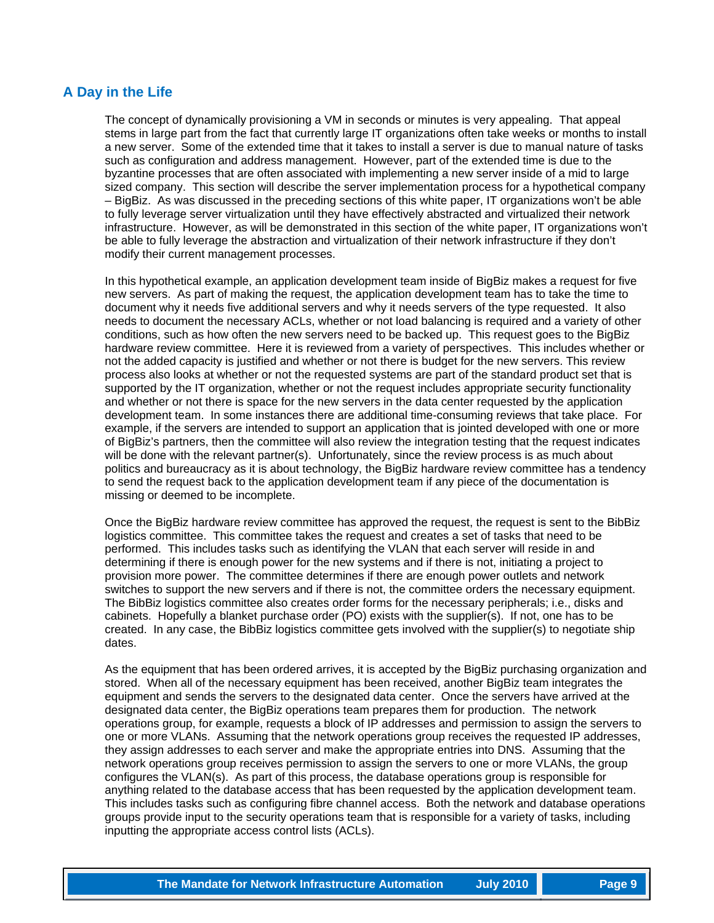## **A Day in the Life**

The concept of dynamically provisioning a VM in seconds or minutes is very appealing. That appeal stems in large part from the fact that currently large IT organizations often take weeks or months to install a new server. Some of the extended time that it takes to install a server is due to manual nature of tasks such as configuration and address management. However, part of the extended time is due to the byzantine processes that are often associated with implementing a new server inside of a mid to large sized company. This section will describe the server implementation process for a hypothetical company – BigBiz. As was discussed in the preceding sections of this white paper, IT organizations won't be able to fully leverage server virtualization until they have effectively abstracted and virtualized their network infrastructure. However, as will be demonstrated in this section of the white paper, IT organizations won't be able to fully leverage the abstraction and virtualization of their network infrastructure if they don't modify their current management processes.

In this hypothetical example, an application development team inside of BigBiz makes a request for five new servers. As part of making the request, the application development team has to take the time to document why it needs five additional servers and why it needs servers of the type requested. It also needs to document the necessary ACLs, whether or not load balancing is required and a variety of other conditions, such as how often the new servers need to be backed up. This request goes to the BigBiz hardware review committee. Here it is reviewed from a variety of perspectives. This includes whether or not the added capacity is justified and whether or not there is budget for the new servers. This review process also looks at whether or not the requested systems are part of the standard product set that is supported by the IT organization, whether or not the request includes appropriate security functionality and whether or not there is space for the new servers in the data center requested by the application development team. In some instances there are additional time-consuming reviews that take place. For example, if the servers are intended to support an application that is jointed developed with one or more of BigBiz's partners, then the committee will also review the integration testing that the request indicates will be done with the relevant partner(s). Unfortunately, since the review process is as much about politics and bureaucracy as it is about technology, the BigBiz hardware review committee has a tendency to send the request back to the application development team if any piece of the documentation is missing or deemed to be incomplete.

Once the BigBiz hardware review committee has approved the request, the request is sent to the BibBiz logistics committee. This committee takes the request and creates a set of tasks that need to be performed. This includes tasks such as identifying the VLAN that each server will reside in and determining if there is enough power for the new systems and if there is not, initiating a project to provision more power. The committee determines if there are enough power outlets and network switches to support the new servers and if there is not, the committee orders the necessary equipment. The BibBiz logistics committee also creates order forms for the necessary peripherals; i.e., disks and cabinets. Hopefully a blanket purchase order (PO) exists with the supplier(s). If not, one has to be created. In any case, the BibBiz logistics committee gets involved with the supplier(s) to negotiate ship dates.

As the equipment that has been ordered arrives, it is accepted by the BigBiz purchasing organization and stored. When all of the necessary equipment has been received, another BigBiz team integrates the equipment and sends the servers to the designated data center. Once the servers have arrived at the designated data center, the BigBiz operations team prepares them for production. The network operations group, for example, requests a block of IP addresses and permission to assign the servers to one or more VLANs. Assuming that the network operations group receives the requested IP addresses, they assign addresses to each server and make the appropriate entries into DNS. Assuming that the network operations group receives permission to assign the servers to one or more VLANs, the group configures the VLAN(s). As part of this process, the database operations group is responsible for anything related to the database access that has been requested by the application development team. This includes tasks such as configuring fibre channel access. Both the network and database operations groups provide input to the security operations team that is responsible for a variety of tasks, including inputting the appropriate access control lists (ACLs).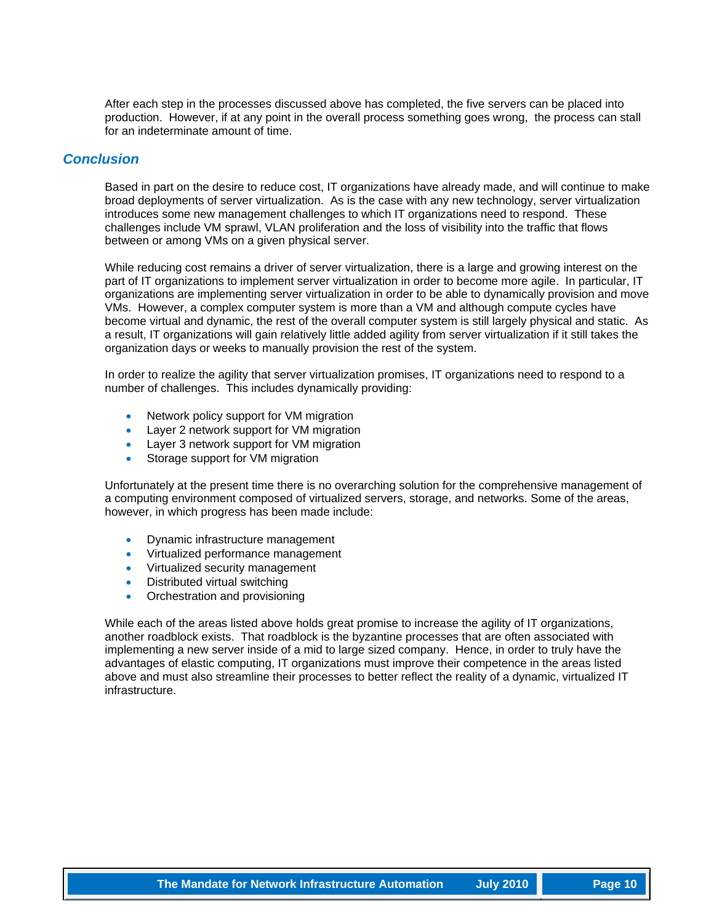After each step in the processes discussed above has completed, the five servers can be placed into production. However, if at any point in the overall process something goes wrong, the process can stall for an indeterminate amount of time.

#### *Conclusion*

Based in part on the desire to reduce cost, IT organizations have already made, and will continue to make broad deployments of server virtualization. As is the case with any new technology, server virtualization introduces some new management challenges to which IT organizations need to respond. These challenges include VM sprawl, VLAN proliferation and the loss of visibility into the traffic that flows between or among VMs on a given physical server.

While reducing cost remains a driver of server virtualization, there is a large and growing interest on the part of IT organizations to implement server virtualization in order to become more agile. In particular, IT organizations are implementing server virtualization in order to be able to dynamically provision and move VMs. However, a complex computer system is more than a VM and although compute cycles have become virtual and dynamic, the rest of the overall computer system is still largely physical and static. As a result, IT organizations will gain relatively little added agility from server virtualization if it still takes the organization days or weeks to manually provision the rest of the system.

In order to realize the agility that server virtualization promises, IT organizations need to respond to a number of challenges. This includes dynamically providing:

- Network policy support for VM migration
- Layer 2 network support for VM migration
- Layer 3 network support for VM migration
- Storage support for VM migration

Unfortunately at the present time there is no overarching solution for the comprehensive management of a computing environment composed of virtualized servers, storage, and networks. Some of the areas, however, in which progress has been made include:

- Dynamic infrastructure management
- Virtualized performance management
- Virtualized security management
- Distributed virtual switching
- Orchestration and provisioning

While each of the areas listed above holds great promise to increase the agility of IT organizations, another roadblock exists. That roadblock is the byzantine processes that are often associated with implementing a new server inside of a mid to large sized company. Hence, in order to truly have the advantages of elastic computing, IT organizations must improve their competence in the areas listed above and must also streamline their processes to better reflect the reality of a dynamic, virtualized IT infrastructure.